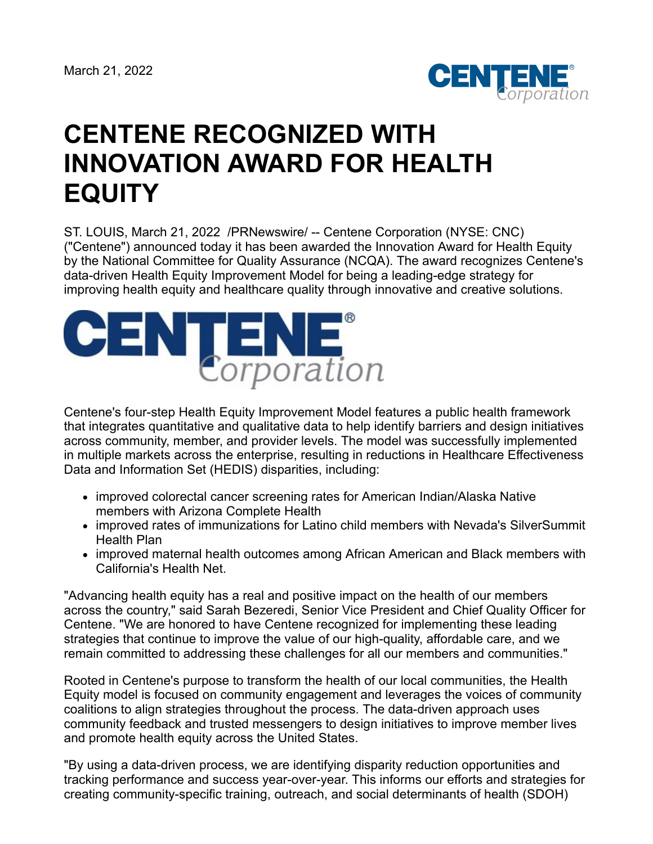

## **CENTENE RECOGNIZED WITH INNOVATION AWARD FOR HEALTH EQUITY**

ST. LOUIS, March 21, 2022 /PRNewswire/ -- Centene Corporation (NYSE: CNC) ("Centene") announced today it has been awarded the Innovation Award for Health Equity by the National Committee for Quality Assurance (NCQA). The award recognizes Centene's data-driven Health Equity Improvement Model for being a leading-edge strategy for improving health equity and healthcare quality through innovative and creative solutions.



Centene's four-step Health Equity Improvement Model features a public health framework that integrates quantitative and qualitative data to help identify barriers and design initiatives across community, member, and provider levels. The model was successfully implemented in multiple markets across the enterprise, resulting in reductions in Healthcare Effectiveness Data and Information Set (HEDIS) disparities, including:

- improved colorectal cancer screening rates for American Indian/Alaska Native members with Arizona Complete Health
- improved rates of immunizations for Latino child members with Nevada's SilverSummit Health Plan
- improved maternal health outcomes among African American and Black members with California's Health Net.

"Advancing health equity has a real and positive impact on the health of our members across the country," said Sarah Bezeredi, Senior Vice President and Chief Quality Officer for Centene. "We are honored to have Centene recognized for implementing these leading strategies that continue to improve the value of our high-quality, affordable care, and we remain committed to addressing these challenges for all our members and communities."

Rooted in Centene's purpose to transform the health of our local communities, the Health Equity model is focused on community engagement and leverages the voices of community coalitions to align strategies throughout the process. The data-driven approach uses community feedback and trusted messengers to design initiatives to improve member lives and promote health equity across the United States.

"By using a data-driven process, we are identifying disparity reduction opportunities and tracking performance and success year-over-year. This informs our efforts and strategies for creating community-specific training, outreach, and social determinants of health (SDOH)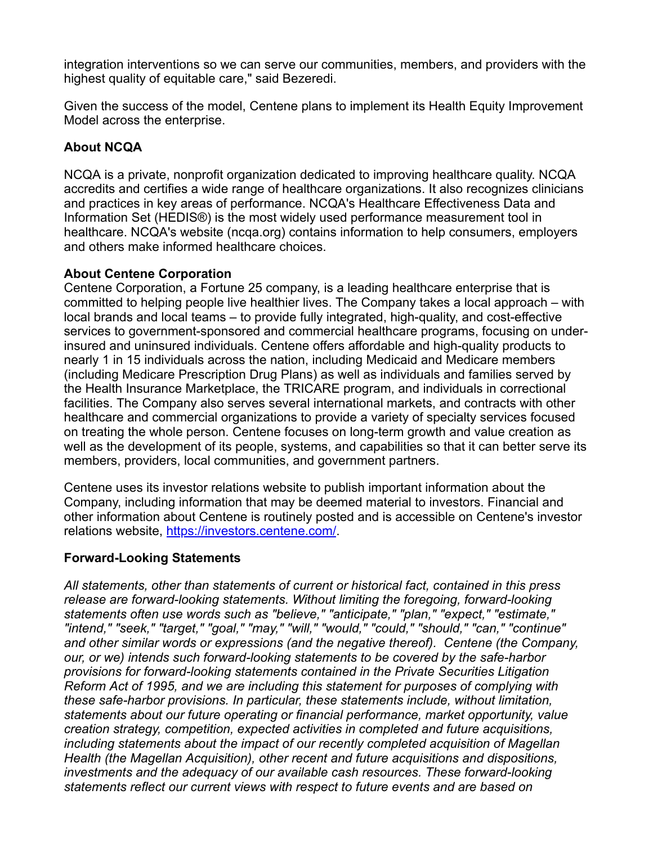integration interventions so we can serve our communities, members, and providers with the highest quality of equitable care," said Bezeredi.

Given the success of the model, Centene plans to implement its Health Equity Improvement Model across the enterprise.

## **About NCQA**

NCQA is a private, nonprofit organization dedicated to improving healthcare quality. NCQA accredits and certifies a wide range of healthcare organizations. It also recognizes clinicians and practices in key areas of performance. NCQA's Healthcare Effectiveness Data and Information Set (HEDIS®) is the most widely used performance measurement tool in healthcare. NCQA's website (ncqa.org) contains information to help consumers, employers and others make informed healthcare choices.

## **About Centene Corporation**

Centene Corporation, a Fortune 25 company, is a leading healthcare enterprise that is committed to helping people live healthier lives. The Company takes a local approach – with local brands and local teams – to provide fully integrated, high-quality, and cost-effective services to government-sponsored and commercial healthcare programs, focusing on underinsured and uninsured individuals. Centene offers affordable and high-quality products to nearly 1 in 15 individuals across the nation, including Medicaid and Medicare members (including Medicare Prescription Drug Plans) as well as individuals and families served by the Health Insurance Marketplace, the TRICARE program, and individuals in correctional facilities. The Company also serves several international markets, and contracts with other healthcare and commercial organizations to provide a variety of specialty services focused on treating the whole person. Centene focuses on long-term growth and value creation as well as the development of its people, systems, and capabilities so that it can better serve its members, providers, local communities, and government partners.

Centene uses its investor relations website to publish important information about the Company, including information that may be deemed material to investors. Financial and other information about Centene is routinely posted and is accessible on Centene's investor relations website, [https://investors.centene.com/.](https://investors.centene.com/)

## **Forward-Looking Statements**

*All statements, other than statements of current or historical fact, contained in this press release are forward-looking statements. Without limiting the foregoing, forward-looking statements often use words such as "believe," "anticipate," "plan," "expect," "estimate," "intend," "seek," "target," "goal," "may," "will," "would," "could," "should," "can," "continue" and other similar words or expressions (and the negative thereof). Centene (the Company, our, or we) intends such forward-looking statements to be covered by the safe-harbor provisions for forward-looking statements contained in the Private Securities Litigation Reform Act of 1995, and we are including this statement for purposes of complying with these safe-harbor provisions. In particular, these statements include, without limitation, statements about our future operating or financial performance, market opportunity, value creation strategy, competition, expected activities in completed and future acquisitions, including statements about the impact of our recently completed acquisition of Magellan Health (the Magellan Acquisition), other recent and future acquisitions and dispositions, investments and the adequacy of our available cash resources. These forward-looking statements reflect our current views with respect to future events and are based on*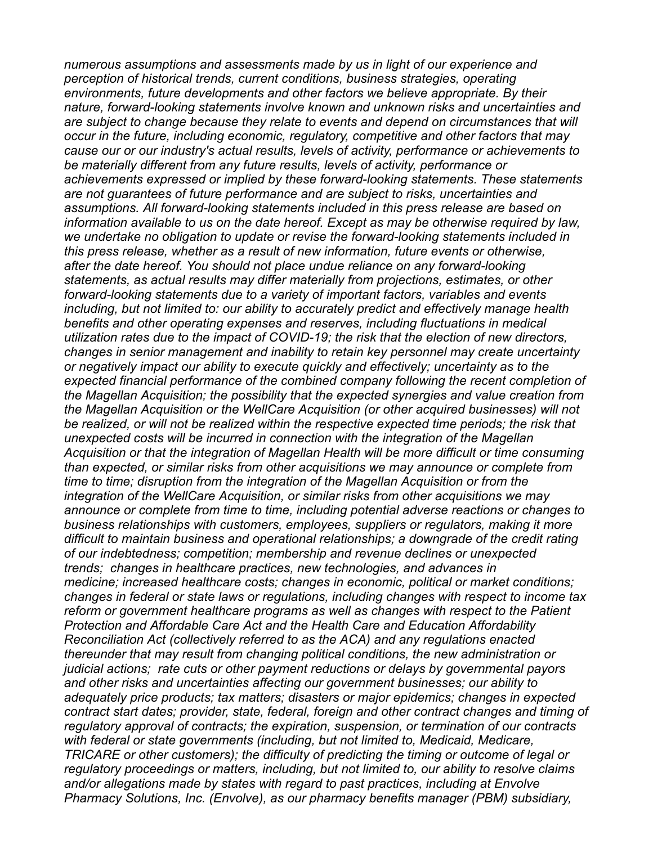*numerous assumptions and assessments made by us in light of our experience and perception of historical trends, current conditions, business strategies, operating environments, future developments and other factors we believe appropriate. By their nature, forward-looking statements involve known and unknown risks and uncertainties and are subject to change because they relate to events and depend on circumstances that will occur in the future, including economic, regulatory, competitive and other factors that may cause our or our industry's actual results, levels of activity, performance or achievements to be materially different from any future results, levels of activity, performance or achievements expressed or implied by these forward-looking statements. These statements are not guarantees of future performance and are subject to risks, uncertainties and assumptions. All forward-looking statements included in this press release are based on information available to us on the date hereof. Except as may be otherwise required by law, we undertake no obligation to update or revise the forward-looking statements included in this press release, whether as a result of new information, future events or otherwise, after the date hereof. You should not place undue reliance on any forward-looking statements, as actual results may differ materially from projections, estimates, or other forward-looking statements due to a variety of important factors, variables and events including, but not limited to: our ability to accurately predict and effectively manage health benefits and other operating expenses and reserves, including fluctuations in medical utilization rates due to the impact of COVID-19; the risk that the election of new directors, changes in senior management and inability to retain key personnel may create uncertainty or negatively impact our ability to execute quickly and effectively; uncertainty as to the expected financial performance of the combined company following the recent completion of the Magellan Acquisition; the possibility that the expected synergies and value creation from the Magellan Acquisition or the WellCare Acquisition (or other acquired businesses) will not be realized, or will not be realized within the respective expected time periods; the risk that unexpected costs will be incurred in connection with the integration of the Magellan Acquisition or that the integration of Magellan Health will be more difficult or time consuming than expected, or similar risks from other acquisitions we may announce or complete from time to time; disruption from the integration of the Magellan Acquisition or from the integration of the WellCare Acquisition, or similar risks from other acquisitions we may announce or complete from time to time, including potential adverse reactions or changes to business relationships with customers, employees, suppliers or regulators, making it more difficult to maintain business and operational relationships; a downgrade of the credit rating of our indebtedness; competition; membership and revenue declines or unexpected trends; changes in healthcare practices, new technologies, and advances in medicine; increased healthcare costs; changes in economic, political or market conditions; changes in federal or state laws or regulations, including changes with respect to income tax reform or government healthcare programs as well as changes with respect to the Patient Protection and Affordable Care Act and the Health Care and Education Affordability Reconciliation Act (collectively referred to as the ACA) and any regulations enacted thereunder that may result from changing political conditions, the new administration or judicial actions; rate cuts or other payment reductions or delays by governmental payors and other risks and uncertainties affecting our government businesses; our ability to adequately price products; tax matters; disasters or major epidemics; changes in expected contract start dates; provider, state, federal, foreign and other contract changes and timing of regulatory approval of contracts; the expiration, suspension, or termination of our contracts with federal or state governments (including, but not limited to, Medicaid, Medicare, TRICARE or other customers); the difficulty of predicting the timing or outcome of legal or regulatory proceedings or matters, including, but not limited to, our ability to resolve claims and/or allegations made by states with regard to past practices, including at Envolve Pharmacy Solutions, Inc. (Envolve), as our pharmacy benefits manager (PBM) subsidiary,*